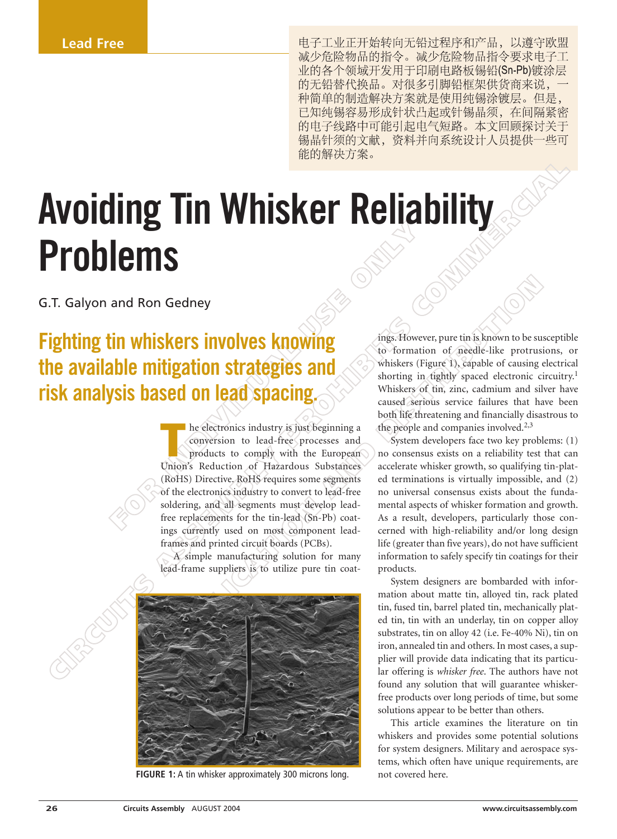电子工业正开始转向无铅过程序和产品, 以遵守欧盟 减少危险物品的指令。减少危险物品指令要求电子工 业的各个领域开发用于印刷电路板锡铅(Sn-Pb)镀涂层 的无铅替代换品。对很多引脚铅框架供货商来说, 种简单的制造解决方案就是使用纯锡涂镀层。但是, 已知纯锡容易形成针状凸起或针锡晶须, 在间隔紧密 的电子线路中可能引起电气短路。本文回顾探讨关于 锡晶针须的文献, 资料并向系统设计人员提供一些可

# **COMMERCIAL STATES ASSEMBLY ASSEMBLY ASSEMBLY ASSEMBLY ASSEMBLY ASSEMBLY AND INCREDIBITION CONTINUES AND CONTINUES ARE CONTINUES AND CONTINUES ARE CONTINUES AND CONTINUES ARE CONTINUES AND CONTINUES AND CONTINUES ARE CONTI Avoiding Tin Whisker Reliability Problems**

G.T. Galyon and Ron Gedney

# **Fighting tin whiskers involves knowing the available mitigation strategies and risk analysis based on lead spacing.**

**FOR SERVICE SPACE SPACE SPACE SPACE SPACE SPACE SPACE SPACE SPACE SPACE SPACE SPACE SPACE SPACE SPACE SPACE SPACE SPACE SPACE SPACE SPACE SPACE SPACE SPACE SPACE SPACE SPACE SPACE SPACE SPACE SPACE SPACE SPACE SPACE SPACE** Gedney<br>
Search Context Context Context Context Context Context Context Context Context Context Context Context Context Context Context Context Context Context Context Context Context Context Context Context Context Context **THE ENEX** Industry is just beginning a conversion to lead-free processes and products to comply with the European conversion to lead-free processes and products to comply with the European Union's Reduction of Hazardous Substances (RoHS) Directive. RoHS requires some segments of the electronics industry to convert to lead-free soldering, and all segments must develop leadfree replacements for the tin-lead (Sn-Pb) coatings currently used on most component leadframes and printed circuit boards (PCBs).

A simple manufacturing solution for many lead-frame suppliers is to utilize pure tin coat-



**FIGURE 1:** A tin whisker approximately 300 microns long.

ings. However, pure tin is known to be susceptible to formation of needle-like protrusions, or whiskers (Figure 1), capable of causing electrical shorting in tightly spaced electronic circuitry.<sup>1</sup> Whiskers of tin, zinc, cadmium and silver have caused serious service failures that have been both life threatening and financially disastrous to the people and companies involved.<sup>2,3</sup>

System developers face two key problems: (1) no consensus exists on a reliability test that can accelerate whisker growth, so qualifying tin-plated terminations is virtually impossible, and (2) no universal consensus exists about the fundamental aspects of whisker formation and growth. As a result, developers, particularly those concerned with high-reliability and/or long design life (greater than five years), do not have sufficient information to safely specify tin coatings for their products.

System designers are bombarded with information about matte tin, alloyed tin, rack plated tin, fused tin, barrel plated tin, mechanically plated tin, tin with an underlay, tin on copper alloy substrates, tin on alloy 42 (i.e. Fe-40% Ni), tin on iron, annealed tin and others. In most cases, a supplier will provide data indicating that its particular offering is *whisker free*. The authors have not found any solution that will guarantee whiskerfree products over long periods of time, but some solutions appear to be better than others.

This article examines the literature on tin whiskers and provides some potential solutions for system designers. Military and aerospace systems, which often have unique requirements, are not covered here.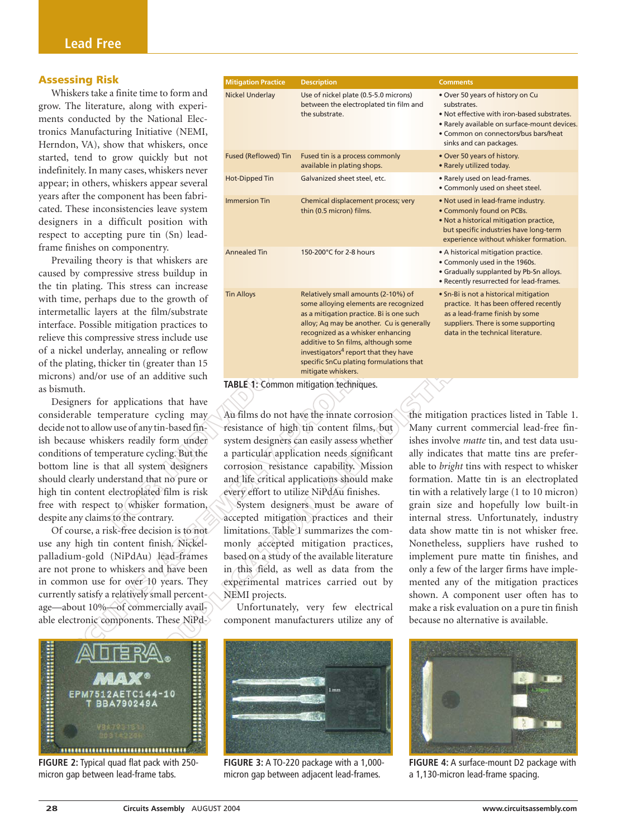### **Assessing Risk**

Whiskers take a finite time to form and grow. The literature, along with experiments conducted by the National Electronics Manufacturing Initiative (NEMI, Herndon, VA), show that whiskers, once started, tend to grow quickly but not indefinitely. In many cases, whiskers never appear; in others, whiskers appear several years after the component has been fabricated. These inconsistencies leave system designers in a difficult position with respect to accepting pure tin (Sn) leadframe finishes on componentry.

Prevailing theory is that whiskers are caused by compressive stress buildup in the tin plating. This stress can increase with time, perhaps due to the growth of intermetallic layers at the film/substrate interface. Possible mitigation practices to relieve this compressive stress include use of a nickel underlay, annealing or reflow of the plating, thicker tin (greater than 15 microns) and/or use of an additive such as bismuth.

Designers for applications that have considerable temperature cycling may decide not to allow use of any tin-based finish because whiskers readily form under conditions of temperature cycling. But the bottom line is that all system designers should clearly understand that no pure or high tin content electroplated film is risk free with respect to whisker formation, despite any claims to the contrary.

Of course, a risk-free decision is to not use any high tin content finish. Nickelpalladium-gold (NiPdAu) lead-frames are not prone to whiskers and have been in common use for over 10 years. They currently satisfy a relatively small percentage—about 10%—of commercially available electronic components. These NiPd-



**FIGURE 2:** Typical quad flat pack with 250 micron gap between lead-frame tabs.

| ssessing Risk                                                                                                                                                                                                                                                                                                                                                                                                                                                                                                                                                                                                                                                                                                                                                                                | <b>Mitigation Practice</b>  | <b>Description</b>                                                                                                                                                                                                                                                                                                                                                                                                                                                                                                                                                                                                                                                                                              | <b>Comments</b>                                                                                                                                                                                                                                                                                                                                                                                                                                                                                                                                                                                                                                                                                                                                                                 |
|----------------------------------------------------------------------------------------------------------------------------------------------------------------------------------------------------------------------------------------------------------------------------------------------------------------------------------------------------------------------------------------------------------------------------------------------------------------------------------------------------------------------------------------------------------------------------------------------------------------------------------------------------------------------------------------------------------------------------------------------------------------------------------------------|-----------------------------|-----------------------------------------------------------------------------------------------------------------------------------------------------------------------------------------------------------------------------------------------------------------------------------------------------------------------------------------------------------------------------------------------------------------------------------------------------------------------------------------------------------------------------------------------------------------------------------------------------------------------------------------------------------------------------------------------------------------|---------------------------------------------------------------------------------------------------------------------------------------------------------------------------------------------------------------------------------------------------------------------------------------------------------------------------------------------------------------------------------------------------------------------------------------------------------------------------------------------------------------------------------------------------------------------------------------------------------------------------------------------------------------------------------------------------------------------------------------------------------------------------------|
| Whiskers take a finite time to form and<br>ow. The literature, along with experi-<br>ents conducted by the National Elec-<br>onics Manufacturing Initiative (NEMI,<br>erndon, VA), show that whiskers, once                                                                                                                                                                                                                                                                                                                                                                                                                                                                                                                                                                                  | <b>Nickel Underlay</b>      | Use of nickel plate (0.5-5.0 microns)<br>between the electroplated tin film and<br>the substrate.                                                                                                                                                                                                                                                                                                                                                                                                                                                                                                                                                                                                               | • Over 50 years of history on Cu<br>substrates.<br>. Not effective with iron-based substrates.<br>. Rarely available on surface-mount devices.<br>• Common on connectors/bus bars/heat<br>sinks and can packages.                                                                                                                                                                                                                                                                                                                                                                                                                                                                                                                                                               |
| arted, tend to grow quickly but not<br>definitely. In many cases, whiskers never                                                                                                                                                                                                                                                                                                                                                                                                                                                                                                                                                                                                                                                                                                             | <b>Fused (Reflowed) Tin</b> | Fused tin is a process commonly<br>available in plating shops.                                                                                                                                                                                                                                                                                                                                                                                                                                                                                                                                                                                                                                                  | • Over 50 years of history.<br>• Rarely utilized today.                                                                                                                                                                                                                                                                                                                                                                                                                                                                                                                                                                                                                                                                                                                         |
| pear; in others, whiskers appear several                                                                                                                                                                                                                                                                                                                                                                                                                                                                                                                                                                                                                                                                                                                                                     | Hot-Dipped Tin              | Galvanized sheet steel, etc.                                                                                                                                                                                                                                                                                                                                                                                                                                                                                                                                                                                                                                                                                    | • Rarely used on lead-frames.<br>• Commonly used on sheet steel.                                                                                                                                                                                                                                                                                                                                                                                                                                                                                                                                                                                                                                                                                                                |
| ars after the component has been fabri-<br>ted. These inconsistencies leave system<br>esigners in a difficult position with<br>spect to accepting pure tin (Sn) lead-                                                                                                                                                                                                                                                                                                                                                                                                                                                                                                                                                                                                                        | <b>Immersion Tin</b>        | Chemical displacement process; very<br>thin (0.5 micron) films.                                                                                                                                                                                                                                                                                                                                                                                                                                                                                                                                                                                                                                                 | . Not used in lead-frame industry.<br>• Commonly found on PCBs.<br>. Not a historical mitigation practice,<br>but specific industries have long-term<br>experience without whisker formation.                                                                                                                                                                                                                                                                                                                                                                                                                                                                                                                                                                                   |
| ame finishes on componentry.<br>Prevailing theory is that whiskers are<br>used by compressive stress buildup in<br>e tin plating. This stress can increase                                                                                                                                                                                                                                                                                                                                                                                                                                                                                                                                                                                                                                   | <b>Annealed Tin</b>         | 150-200°C for 2-8 hours                                                                                                                                                                                                                                                                                                                                                                                                                                                                                                                                                                                                                                                                                         | • A historical mitigation practice.<br>• Commonly used in the 1960s.<br>• Gradually supplanted by Pb-Sn alloys.<br>. Recently resurrected for lead-frames.                                                                                                                                                                                                                                                                                                                                                                                                                                                                                                                                                                                                                      |
| ith time, perhaps due to the growth of<br>termetallic layers at the film/substrate<br>terface. Possible mitigation practices to<br>lieve this compressive stress include use<br>a nickel underlay, annealing or reflow<br>the plating, thicker tin (greater than 15                                                                                                                                                                                                                                                                                                                                                                                                                                                                                                                          | <b>Tin Alloys</b>           | Relatively small amounts (2-10%) of<br>some alloying elements are recognized<br>as a mitigation practice. Bi is one such<br>alloy; Ag may be another. Cu is generally<br>recognized as a whisker enhancing<br>additive to Sn films, although some<br>investigators <sup>4</sup> report that they have<br>specific SnCu plating formulations that<br>mitigate whiskers.                                                                                                                                                                                                                                                                                                                                          | • Sn-Bi is not a historical mitigation<br>practice. It has been offered recently<br>as a lead-frame finish by some<br>suppliers. There is some supporting<br>data in the technical literature.                                                                                                                                                                                                                                                                                                                                                                                                                                                                                                                                                                                  |
| icrons) and/or use of an additive such                                                                                                                                                                                                                                                                                                                                                                                                                                                                                                                                                                                                                                                                                                                                                       |                             | TABLE 1: Common mitigation techniques.                                                                                                                                                                                                                                                                                                                                                                                                                                                                                                                                                                                                                                                                          |                                                                                                                                                                                                                                                                                                                                                                                                                                                                                                                                                                                                                                                                                                                                                                                 |
| bismuth.<br>Designers for applications that have<br>onsiderable temperature cycling may<br>ecide not to allow use of any tin-based fin-<br>h because whiskers readily form under<br>onditions of temperature cycling. But the<br>ottom line is that all system designers<br>ould clearly understand that no pure or<br>gh tin content electroplated film is risk<br>ee with respect to whisker formation,<br>espite any claims to the contrary.<br>Of course, a risk-free decision is to not<br>se any high tin content finish. Nickel-<br>alladium-gold (NiPdAu) lead-frames<br>e not prone to whiskers and have been<br>common use for over 10 years. They<br>irrently satisfy a relatively small percent-<br>e-about 10%-of commercially avail-<br>ble electronic components. These NiPd- | NEMI projects.              | Au films do not have the innate corrosion<br>resistance of high tin content films, but<br>system designers can easily assess whether<br>a particular application needs significant<br>corrosion resistance capability. Mission<br>and life critical applications should make<br>every effort to utilize NiPdAu finishes.<br>System designers must be aware of<br>accepted mitigation practices and their<br>limitations. Table 1 summarizes the com-<br>monly accepted mitigation practices,<br>based on a study of the available literature<br>in this field, as well as data from the<br>experimental matrices carried out by<br>Unfortunately, very few electrical<br>component manufacturers utilize any of | the mitigation practices listed in Table 1.<br>Many current commercial lead-free fin-<br>ishes involve <i>matte</i> tin, and test data usu-<br>ally indicates that matte tins are prefer-<br>able to bright tins with respect to whisker<br>formation. Matte tin is an electroplated<br>tin with a relatively large (1 to 10 micron)<br>grain size and hopefully low built-in<br>internal stress. Unfortunately, industry<br>data show matte tin is not whisker free.<br>Nonetheless, suppliers have rushed to<br>implement pure matte tin finishes, and<br>only a few of the larger firms have imple-<br>mented any of the mitigation practices<br>shown. A component user often has to<br>make a risk evaluation on a pure tin finish<br>because no alternative is available. |
|                                                                                                                                                                                                                                                                                                                                                                                                                                                                                                                                                                                                                                                                                                                                                                                              |                             |                                                                                                                                                                                                                                                                                                                                                                                                                                                                                                                                                                                                                                                                                                                 |                                                                                                                                                                                                                                                                                                                                                                                                                                                                                                                                                                                                                                                                                                                                                                                 |

**TABLE 1:** Common mitigation techniques.



**FIGURE 3:** A TO-220 package with a 1,000 micron gap between adjacent lead-frames.



**FIGURE 4:** A surface-mount D2 package with a 1,130-micron lead-frame spacing.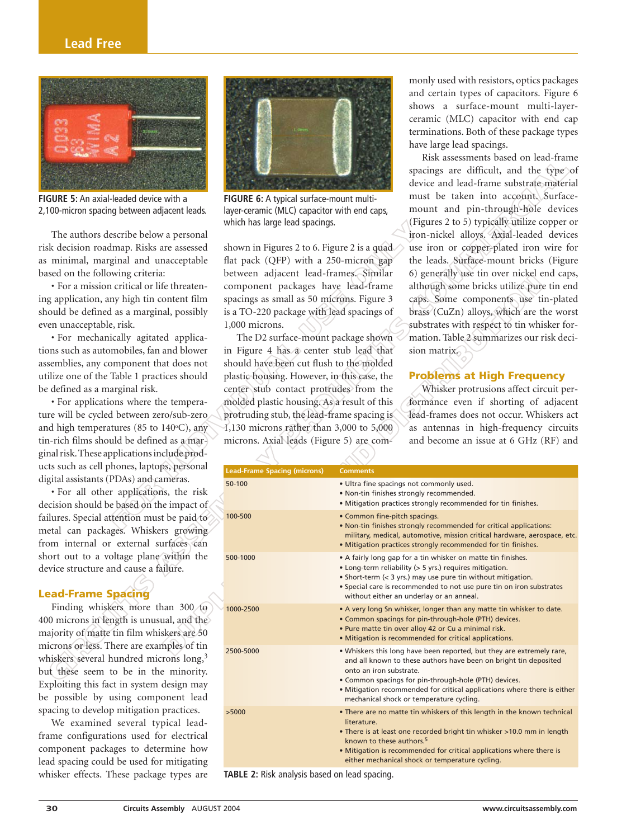## **Lead Free**



**FIGURE 5:** An axial-leaded device with a 2,100-micron spacing between adjacent leads.

The authors describe below a personal risk decision roadmap. Risks are assessed as minimal, marginal and unacceptable based on the following criteria:

• For a mission critical or life threatening application, any high tin content film should be defined as a marginal, possibly even unacceptable, risk.

• For mechanically agitated applications such as automobiles, fan and blower assemblies, any component that does not utilize one of the Table 1 practices should be defined as a marginal risk.

• For applications where the temperature will be cycled between zero/sub-zero and high temperatures (85 to  $140\textdegree C$ ), any tin-rich films should be defined as a marginal risk.These applications include products such as cell phones, laptops, personal digital assistants (PDAs) and cameras.

• For all other applications, the risk decision should be based on the impact of failures. Special attention must be paid to metal can packages. Whiskers growing from internal or external surfaces can short out to a voltage plane within the device structure and cause a failure.

### **Lead-Frame Spacing**

Finding whiskers more than 300 to 400 microns in length is unusual, and the majority of matte tin film whiskers are 50 microns or less. There are examples of tin whiskers several hundred microns long,<sup>3</sup> but these seem to be in the minority. Exploiting this fact in system design may be possible by using component lead spacing to develop mitigation practices.

We examined several typical leadframe configurations used for electrical component packages to determine how lead spacing could be used for mitigating whisker effects. These package types are



**FIGURE 6:** A typical surface-mount multilayer-ceramic (MLC) capacitor with end caps, which has large lead spacings.

monly used with resistors, optics packages and certain types of capacitors. Figure 6 shows a surface-mount multi-layerceramic (MLC) capacitor with end cap terminations. Both of these package types have large lead spacings.

### **Problems at High Frequency**

| <b>GURE 5:</b> An axial-leaded device with a<br>100-micron spacing between adjacent leads.<br>The authors describe below a personal<br>sk decision roadmap. Risks are assessed<br>minimal, marginal and unacceptable<br>used on the following criteria:<br>• For a mission critical or life threaten-<br>g application, any high tin content film<br>ould be defined as a marginal, possibly<br>en unacceptable, risk.<br>· For mechanically agitated applica-<br>ons such as automobiles, fan and blower<br>semblies, any component that does not<br>ilize one of the Table 1 practices should<br>e defined as a marginal risk.<br>• For applications where the tempera-<br>re will be cycled between zero/sub-zero<br>ad high temperatures (85 to 140°C), any<br>n-rich films should be defined as a mar-<br>nal risk. These applications include prod- | RISK assessments based on read-maille<br>spacings are difficult, and the type of<br>device and lead-frame substrate material<br>must be taken into account. Surface-<br>FIGURE 6: A typical surface-mount multi-<br>mount and pin-through-hole devices<br>layer-ceramic (MLC) capacitor with end caps,<br>(Figures 2 to 5) typically utilize copper or<br>which has large lead spacings.<br>iron-nickel alloys. Axial-leaded devices<br>use iron or copper-plated iron wire for<br>shown in Figures 2 to 6. Figure 2 is a quad<br>flat pack (QFP) with a 250-micron gap<br>the leads. Surface-mount bricks (Figure<br>between adjacent lead-frames. Similar<br>6) generally use tin over nickel end caps,<br>component packages have lead-frame<br>although some bricks utilize pure tin end<br>spacings as small as 50 microns. Figure 3<br>caps. Some components use tin-plated<br>is a TO-220 package with lead spacings of<br>brass (CuZn) alloys, which are the worst<br>substrates with respect to tin whisker for-<br>$1,000$ microns.<br>mation. Table 2 summarizes our risk deci-<br>The D2 surface-mount package shown<br>in Figure 4 has a center stub lead that<br>sion matrix.<br>should have been cut flush to the molded<br><b>Problems at High Frequency</b><br>plastic housing. However, in this case, the<br>center stub contact protrudes from the<br>Whisker protrusions affect circuit per-<br>molded plastic housing. As a result of this<br>formance even if shorting of adjacent<br>protruding stub, the lead-frame spacing is<br>lead-frames does not occur. Whiskers act<br>1,130 microns rather than 3,000 to 5,000<br>as antennas in high-frequency circuits<br>microns. Axial leads (Figure 5) are com-<br>and become an issue at 6 GHz (RF) and |                                                                                                                                                                                                                                                                                                                                                       |  |
|-----------------------------------------------------------------------------------------------------------------------------------------------------------------------------------------------------------------------------------------------------------------------------------------------------------------------------------------------------------------------------------------------------------------------------------------------------------------------------------------------------------------------------------------------------------------------------------------------------------------------------------------------------------------------------------------------------------------------------------------------------------------------------------------------------------------------------------------------------------|-------------------------------------------------------------------------------------------------------------------------------------------------------------------------------------------------------------------------------------------------------------------------------------------------------------------------------------------------------------------------------------------------------------------------------------------------------------------------------------------------------------------------------------------------------------------------------------------------------------------------------------------------------------------------------------------------------------------------------------------------------------------------------------------------------------------------------------------------------------------------------------------------------------------------------------------------------------------------------------------------------------------------------------------------------------------------------------------------------------------------------------------------------------------------------------------------------------------------------------------------------------------------------------------------------------------------------------------------------------------------------------------------------------------------------------------------------------------------------------------------------------------------------------------------------------------------------------------------------------------------------------------------------------------------------------------------------------------------------------------------------------------------------|-------------------------------------------------------------------------------------------------------------------------------------------------------------------------------------------------------------------------------------------------------------------------------------------------------------------------------------------------------|--|
| cts such as cell phones, laptops, personal                                                                                                                                                                                                                                                                                                                                                                                                                                                                                                                                                                                                                                                                                                                                                                                                                | <b>Lead-Frame Spacing (microns)</b>                                                                                                                                                                                                                                                                                                                                                                                                                                                                                                                                                                                                                                                                                                                                                                                                                                                                                                                                                                                                                                                                                                                                                                                                                                                                                                                                                                                                                                                                                                                                                                                                                                                                                                                                           | <b>Comments</b>                                                                                                                                                                                                                                                                                                                                       |  |
| gital assistants (PDAs) and cameras.<br>• For all other applications, the risk<br>ecision should be based on the impact of                                                                                                                                                                                                                                                                                                                                                                                                                                                                                                                                                                                                                                                                                                                                | 50-100                                                                                                                                                                                                                                                                                                                                                                                                                                                                                                                                                                                                                                                                                                                                                                                                                                                                                                                                                                                                                                                                                                                                                                                                                                                                                                                                                                                                                                                                                                                                                                                                                                                                                                                                                                        | . Ultra fine spacings not commonly used.<br>. Non-tin finishes strongly recommended.<br>. Mitigation practices strongly recommended for tin finishes.                                                                                                                                                                                                 |  |
| ilures. Special attention must be paid to<br>etal can packages. Whiskers growing<br>om internal or external surfaces can                                                                                                                                                                                                                                                                                                                                                                                                                                                                                                                                                                                                                                                                                                                                  | 100-500                                                                                                                                                                                                                                                                                                                                                                                                                                                                                                                                                                                                                                                                                                                                                                                                                                                                                                                                                                                                                                                                                                                                                                                                                                                                                                                                                                                                                                                                                                                                                                                                                                                                                                                                                                       | • Common fine-pitch spacings.<br>. Non-tin finishes strongly recommended for critical applications:<br>military, medical, automotive, mission critical hardware, aerospace, etc.<br>• Mitigation practices strongly recommended for tin finishes.                                                                                                     |  |
| ort out to a voltage plane within the<br>evice structure and cause a failure.<br>ead-Frame Spacing                                                                                                                                                                                                                                                                                                                                                                                                                                                                                                                                                                                                                                                                                                                                                        | 500-1000                                                                                                                                                                                                                                                                                                                                                                                                                                                                                                                                                                                                                                                                                                                                                                                                                                                                                                                                                                                                                                                                                                                                                                                                                                                                                                                                                                                                                                                                                                                                                                                                                                                                                                                                                                      | • A fairly long gap for a tin whisker on matte tin finishes.<br>• Long-term reliability (> 5 yrs.) requires mitigation.<br>• Short-term (< 3 yrs.) may use pure tin without mitigation.<br>• Special care is recommended to not use pure tin on iron substrates<br>without either an underlay or an anneal.                                           |  |
| Finding whiskers more than 300 to<br>00 microns in length is unusual, and the<br>ajority of matte tin film whiskers are 50                                                                                                                                                                                                                                                                                                                                                                                                                                                                                                                                                                                                                                                                                                                                | 1000-2500                                                                                                                                                                                                                                                                                                                                                                                                                                                                                                                                                                                                                                                                                                                                                                                                                                                                                                                                                                                                                                                                                                                                                                                                                                                                                                                                                                                                                                                                                                                                                                                                                                                                                                                                                                     | • A very long Sn whisker, longer than any matte tin whisker to date.<br>• Common spacings for pin-through-hole (PTH) devices.<br>. Pure matte tin over alloy 42 or Cu a minimal risk.<br>· Mitigation is recommended for critical applications.                                                                                                       |  |
| icrons or less. There are examples of tin<br>hiskers several hundred microns long, <sup>3</sup><br>at these seem to be in the minority.<br>xploiting this fact in system design may<br>possible by using component lead                                                                                                                                                                                                                                                                                                                                                                                                                                                                                                                                                                                                                                   | 2500-5000                                                                                                                                                                                                                                                                                                                                                                                                                                                                                                                                                                                                                                                                                                                                                                                                                                                                                                                                                                                                                                                                                                                                                                                                                                                                                                                                                                                                                                                                                                                                                                                                                                                                                                                                                                     | . Whiskers this long have been reported, but they are extremely rare,<br>and all known to these authors have been on bright tin deposited<br>onto an iron substrate.<br>• Common spacings for pin-through-hole (PTH) devices.<br>. Mitigation recommended for critical applications where there is either<br>mechanical shock or temperature cycling. |  |
| acing to develop mitigation practices.<br>We examined several typical lead-<br>ame configurations used for electrical<br>mponent packages to determine how<br>ad spacing could be used for mitigating                                                                                                                                                                                                                                                                                                                                                                                                                                                                                                                                                                                                                                                     | >5000                                                                                                                                                                                                                                                                                                                                                                                                                                                                                                                                                                                                                                                                                                                                                                                                                                                                                                                                                                                                                                                                                                                                                                                                                                                                                                                                                                                                                                                                                                                                                                                                                                                                                                                                                                         | • There are no matte tin whiskers of this length in the known technical<br>literature.<br>• There is at least one recorded bright tin whisker >10.0 mm in length<br>known to these authors. <sup>5</sup><br>. Mitigation is recommended for critical applications where there is<br>either mechanical shock or temperature cycling.                   |  |

**TABLE 2:** Risk analysis based on lead spacing.